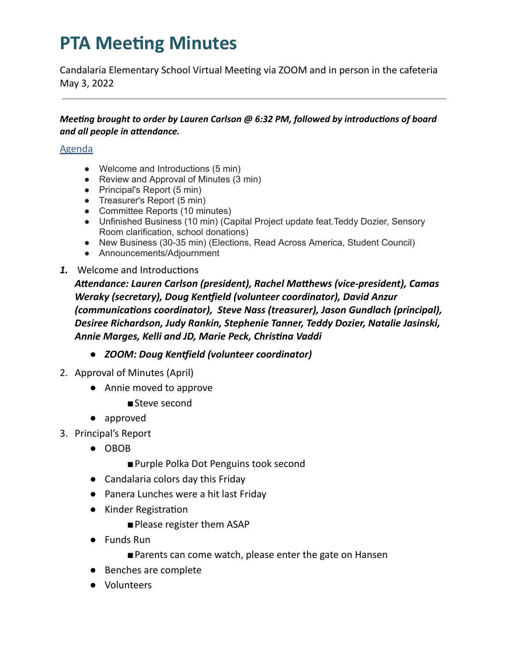Candalaria Elementary School Virtual Meeting via ZOOM and in person in the cafeteria May 3, 2022

#### *Meeting brought to order by Lauren Carlson @ 6:32 PM, followed by introductions of board and all people in attendance.*

### Agenda

- Welcome and Introductions (5 min)
- Review and Approval of Minutes (3 min)
- Principal's Report (5 min)
- Treasurer's Report (5 min)
- Committee Reports (10 minutes)
- Unfinished Business (10 min) (Capital Project update feat.Teddy Dozier, Sensory Room clarification, school donations)
- New Business (30-35 min) (Elections, Read Across America, Student Council)
- Announcements/Adjournment
- 1. Welcome and Introductions

*Aendance: Lauren Carlson (president), Rachel Mahews (vice-president), Camas Weraky (secretary), Doug Kenield (volunteer coordinator), David Anzur (communicaons coordinator), Steve Nass (treasurer), Jason Gundlach (principal), Desiree Richardson, Judy Rankin, Stephenie Tanner, Teddy Dozier, Natalie Jasinski, Annie Marges, Kelli and JD, Marie Peck, Chrisna Vaddi*

- *● ZOOM: Doug Kenield (volunteer coordinator)*
- 2. Approval of Minutes (April)
	- Annie moved to approve
		- ■Steve second
	- approved
- 3. Principal's Report
	- OBOB
		- Purple Polka Dot Penguins took second
	- Candalaria colors day this Friday
	- Panera Lunches were a hit last Friday
	- Kinder Registration
		- Please register them ASAP
	- Funds Run
		- ■Parents can come watch, please enter the gate on Hansen
	- Benches are complete
	- Volunteers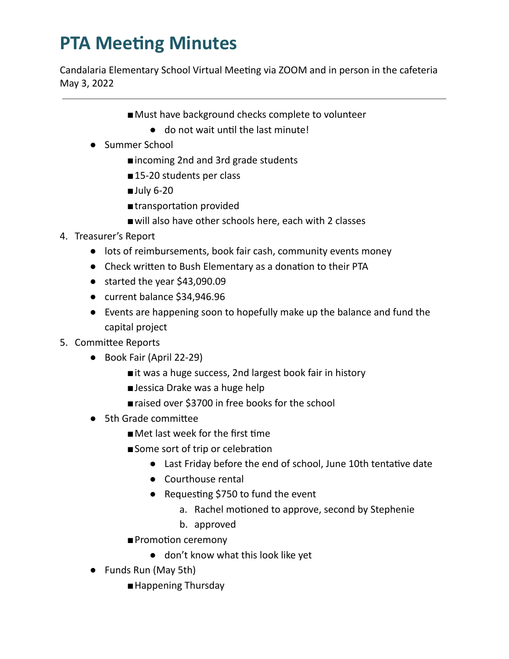Candalaria Elementary School Virtual Meeting via ZOOM and in person in the cafeteria May 3, 2022

- Must have background checks complete to volunteer
	- $\bullet$  do not wait until the last minute!
- Summer School
	- ■incoming 2nd and 3rd grade students
	- ■15-20 students per class
	- July 6-20
	- ■transportation provided
	- will also have other schools here, each with 2 classes
- 4. Treasurer's Report
	- lots of reimbursements, book fair cash, community events money
	- Check written to Bush Elementary as a donation to their PTA
	- started the year \$43,090.09
	- current balance \$34,946.96
	- Events are happening soon to hopefully make up the balance and fund the capital project
- 5. Committee Reports
	- Book Fair (April 22-29)
		- ■it was a huge success, 2nd largest book fair in history
		- Jessica Drake was a huge help
		- raised over \$3700 in free books for the school
	- 5th Grade committee
		- $\blacksquare$  Met last week for the first time
		- Some sort of trip or celebration
			- Last Friday before the end of school, June 10th tentative date
			- Courthouse rental
			- Requesting \$750 to fund the event
				- a. Rachel motioned to approve, second by Stephenie
				- b. approved
		- Promotion ceremony
			- don't know what this look like yet
	- Funds Run (May 5th)
		- ■Happening Thursday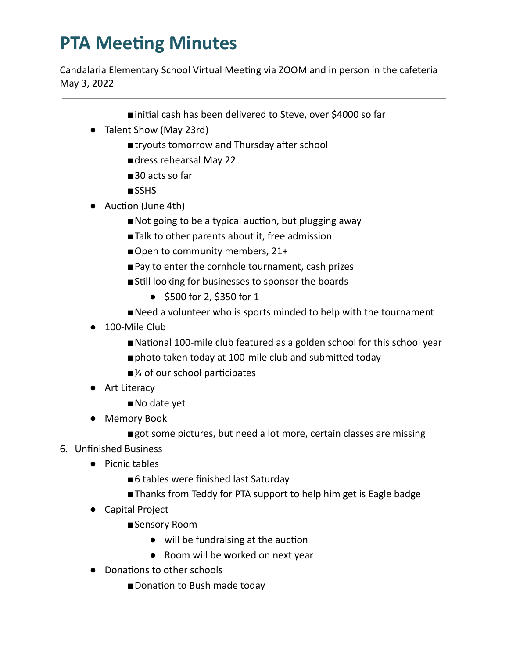Candalaria Elementary School Virtual Meeting via ZOOM and in person in the cafeteria May 3, 2022

- ■initial cash has been delivered to Steve, over \$4000 so far
- Talent Show (May 23rd)
	- ■tryouts tomorrow and Thursday after school
	- dress rehearsal May 22
	- ■30 acts so far
	- ■SSHS
- Auction (June 4th)
	- Not going to be a typical auction, but plugging away
	- Talk to other parents about it, free admission
	- Open to community members, 21+
	- Pay to enter the cornhole tournament, cash prizes
	- Still looking for businesses to sponsor the boards
		- \$500 for 2, \$350 for 1
	- Need a volunteer who is sports minded to help with the tournament
- 100-Mile Club
	- National 100-mile club featured as a golden school for this school year
	- photo taken today at 100-mile club and submitted today
	- <sup>1</sup>/<sub>3</sub> of our school participates
- Art Literacy
	- No date yet
- Memory Book
	- ■got some pictures, but need a lot more, certain classes are missing
- 6. Unfinished Business
	- Picnic tables
		- ■6 tables were finished last Saturday
		- ■Thanks from Teddy for PTA support to help him get is Eagle badge
	- Capital Project
		- ■Sensory Room
			- $\bullet$  will be fundraising at the auction
			- Room will be worked on next year
	- Donations to other schools
		- Donation to Bush made today